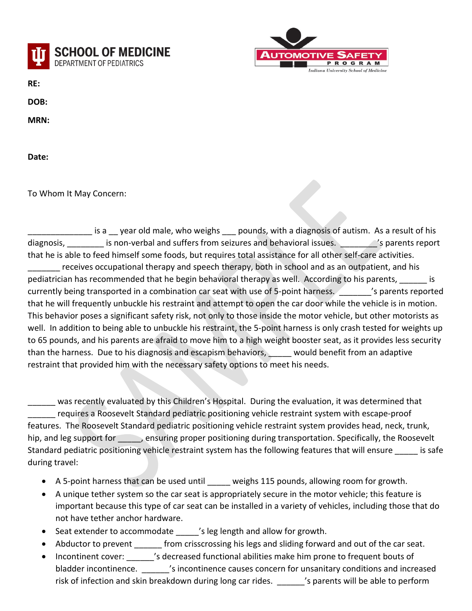



**RE:** 

**DOB:** 

**MRN:** 

**Date:** 

To Whom It May Concern:

\_\_\_\_\_\_\_\_\_\_\_\_\_\_ is a \_\_ year old male, who weighs \_\_\_ pounds, with a diagnosis of autism. As a result of his diagnosis, \_\_\_\_\_\_\_\_ is non-verbal and suffers from seizures and behavioral issues. \_\_\_\_\_\_\_\_'s parents report that he is able to feed himself some foods, but requires total assistance for all other self-care activities. receives occupational therapy and speech therapy, both in school and as an outpatient, and his pediatrician has recommended that he begin behavioral therapy as well. According to his parents, \_\_\_\_\_\_ is currently being transported in a combination car seat with use of 5-point harness. The Summers reported that he will frequently unbuckle his restraint and attempt to open the car door while the vehicle is in motion. This behavior poses a significant safety risk, not only to those inside the motor vehicle, but other motorists as well. In addition to being able to unbuckle his restraint, the 5-point harness is only crash tested for weights up to 65 pounds, and his parents are afraid to move him to a high weight booster seat, as it provides less security than the harness. Due to his diagnosis and escapism behaviors, would benefit from an adaptive restraint that provided him with the necessary safety options to meet his needs.

was recently evaluated by this Children's Hospital. During the evaluation, it was determined that requires a Roosevelt Standard pediatric positioning vehicle restraint system with escape-proof features. The Roosevelt Standard pediatric positioning vehicle restraint system provides head, neck, trunk, hip, and leg support for ensuring proper positioning during transportation. Specifically, the Roosevelt Standard pediatric positioning vehicle restraint system has the following features that will ensure is safe during travel:

- A 5-point harness that can be used until weighs 115 pounds, allowing room for growth.
- A unique tether system so the car seat is appropriately secure in the motor vehicle; this feature is important because this type of car seat can be installed in a variety of vehicles, including those that do not have tether anchor hardware.
- Seat extender to accommodate  $\blacksquare$  's leg length and allow for growth.
- Abductor to prevent \_\_\_\_\_\_ from crisscrossing his legs and sliding forward and out of the car seat.
- Incontinent cover: \_\_\_\_\_\_'s decreased functional abilities make him prone to frequent bouts of bladder incontinence.  $\blacksquare$  's incontinence causes concern for unsanitary conditions and increased risk of infection and skin breakdown during long car rides. \_\_\_\_\_\_'s parents will be able to perform